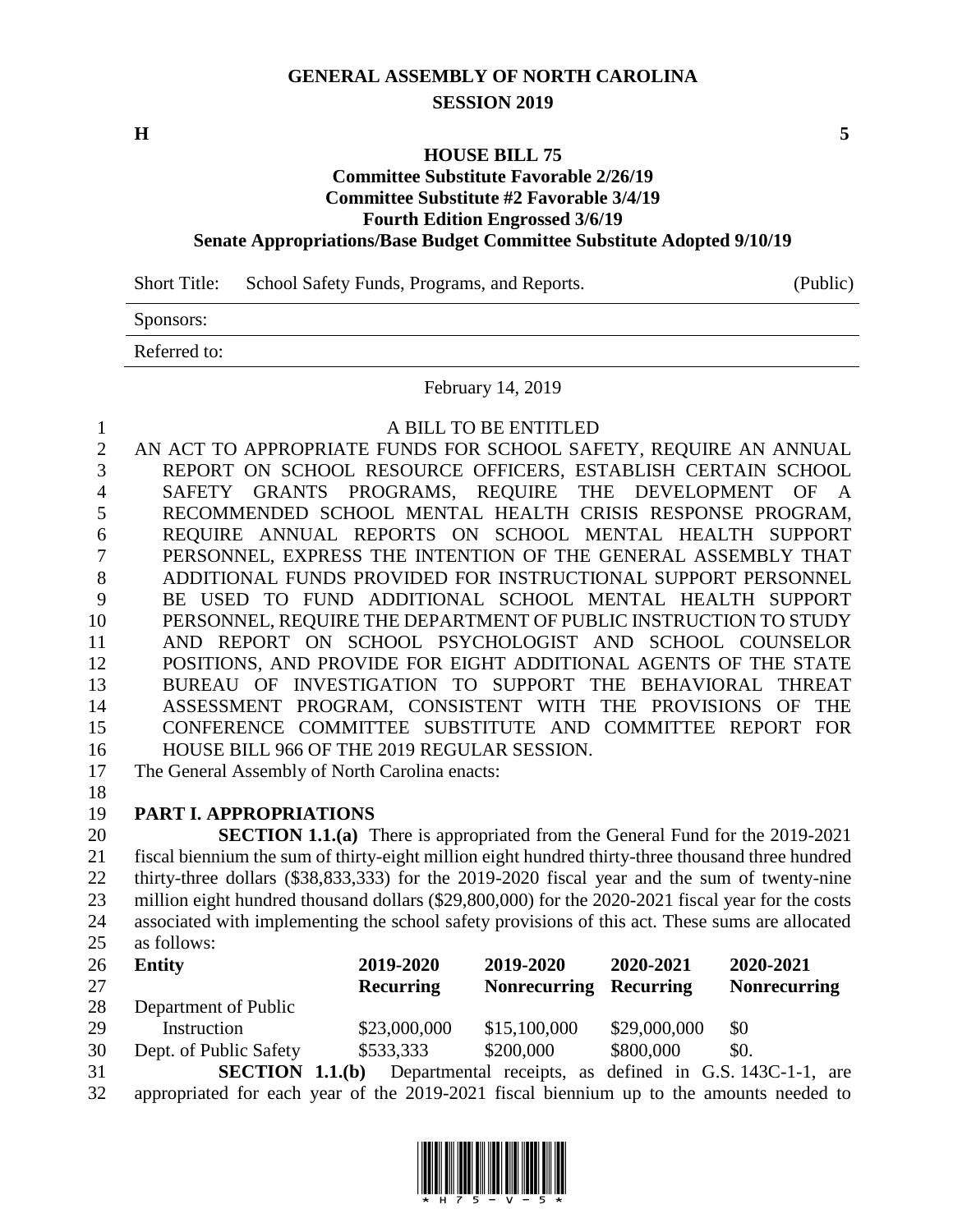# **GENERAL ASSEMBLY OF NORTH CAROLINA SESSION 2019**

**H 5**

## **HOUSE BILL 75**

## **Committee Substitute Favorable 2/26/19 Committee Substitute #2 Favorable 3/4/19**

**Fourth Edition Engrossed 3/6/19**

### **Senate Appropriations/Base Budget Committee Substitute Adopted 9/10/19**

Short Title: School Safety Funds, Programs, and Reports. (Public)

Sponsors:

Referred to:

February 14, 2019

A BILL TO BE ENTITLED

 AN ACT TO APPROPRIATE FUNDS FOR SCHOOL SAFETY, REQUIRE AN ANNUAL REPORT ON SCHOOL RESOURCE OFFICERS, ESTABLISH CERTAIN SCHOOL SAFETY GRANTS PROGRAMS, REQUIRE THE DEVELOPMENT OF A RECOMMENDED SCHOOL MENTAL HEALTH CRISIS RESPONSE PROGRAM, REQUIRE ANNUAL REPORTS ON SCHOOL MENTAL HEALTH SUPPORT PERSONNEL, EXPRESS THE INTENTION OF THE GENERAL ASSEMBLY THAT ADDITIONAL FUNDS PROVIDED FOR INSTRUCTIONAL SUPPORT PERSONNEL BE USED TO FUND ADDITIONAL SCHOOL MENTAL HEALTH SUPPORT PERSONNEL, REQUIRE THE DEPARTMENT OF PUBLIC INSTRUCTION TO STUDY AND REPORT ON SCHOOL PSYCHOLOGIST AND SCHOOL COUNSELOR POSITIONS, AND PROVIDE FOR EIGHT ADDITIONAL AGENTS OF THE STATE BUREAU OF INVESTIGATION TO SUPPORT THE BEHAVIORAL THREAT ASSESSMENT PROGRAM, CONSISTENT WITH THE PROVISIONS OF THE CONFERENCE COMMITTEE SUBSTITUTE AND COMMITTEE REPORT FOR HOUSE BILL 966 OF THE 2019 REGULAR SESSION.

The General Assembly of North Carolina enacts:

# **PART I. APPROPRIATIONS**

 **SECTION 1.1.(a)** There is appropriated from the General Fund for the 2019-2021 fiscal biennium the sum of thirty-eight million eight hundred thirty-three thousand three hundred thirty-three dollars (\$38,833,333) for the 2019-2020 fiscal year and the sum of twenty-nine million eight hundred thousand dollars (\$29,800,000) for the 2020-2021 fiscal year for the costs associated with implementing the school safety provisions of this act. These sums are allocated as follows:

| 26 | Entity                 | 2019-2020                     | 2019-2020                     | 2020-2021                        | 2020-2021           |
|----|------------------------|-------------------------------|-------------------------------|----------------------------------|---------------------|
| 27 |                        | <b>Recurring</b>              | <b>Nonrecurring Recurring</b> |                                  | <b>Nonrecurring</b> |
| 28 | Department of Public   |                               |                               |                                  |                     |
| 29 | Instruction            | \$23,000,000                  | \$15,100,000                  | \$29,000,000                     | -\$0                |
| 30 | Dept. of Public Safety | \$533,333                     | \$200,000                     | \$800,000                        | \$0.                |
|    | CECTION                | $11(h)$ Departmental resolute |                               | $\alpha$ defined in C S 142C 1.1 | $\sim$              |

 **SECTION 1.1.(b)** Departmental receipts, as defined in G.S. 143C-1-1, are appropriated for each year of the 2019-2021 fiscal biennium up to the amounts needed to

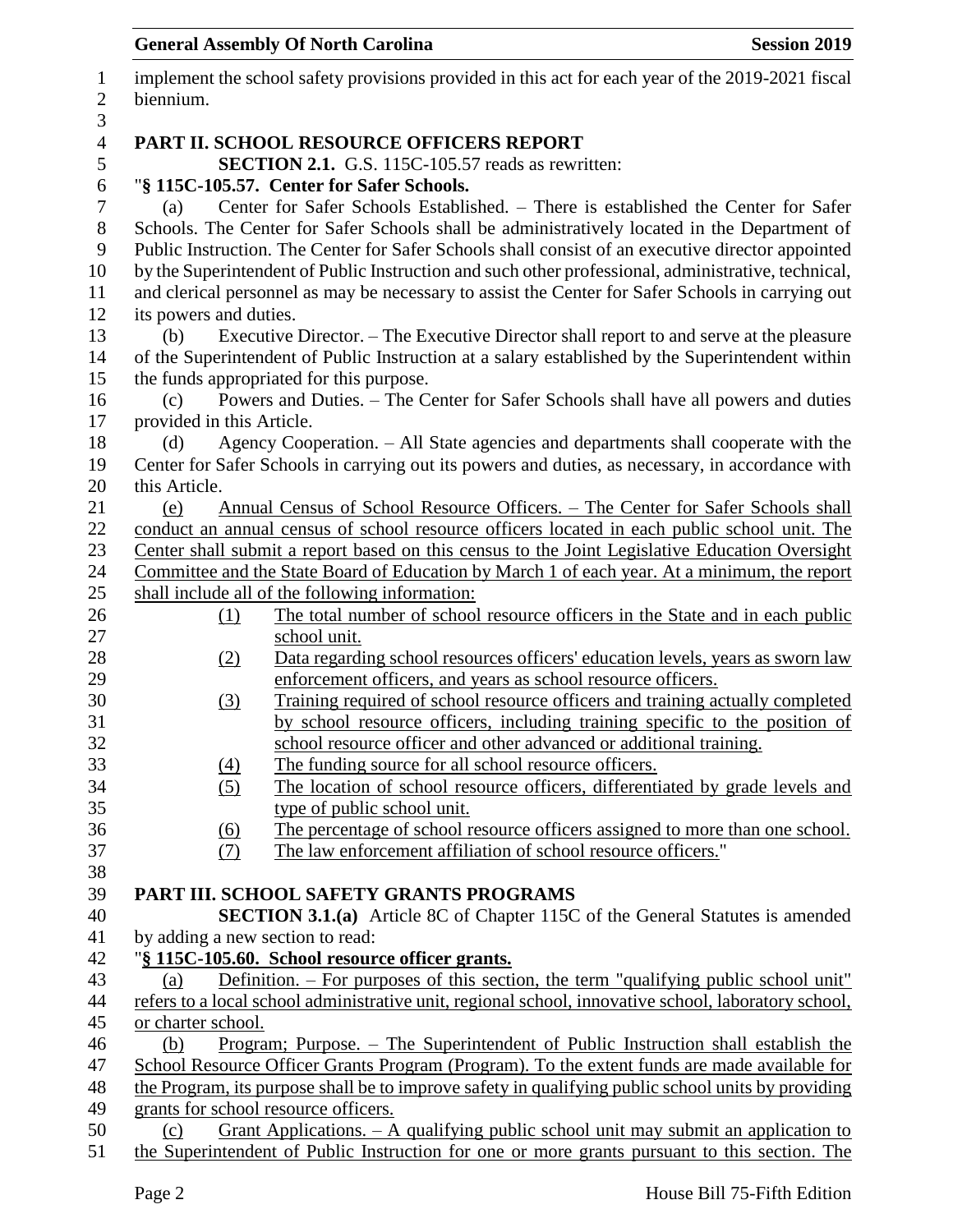# implement the school safety provisions provided in this act for each year of the 2019-2021 fiscal biennium. **PART II. SCHOOL RESOURCE OFFICERS REPORT SECTION 2.1.** G.S. 115C-105.57 reads as rewritten: "**§ 115C-105.57. Center for Safer Schools.** (a) Center for Safer Schools Established. – There is established the Center for Safer Schools. The Center for Safer Schools shall be administratively located in the Department of Public Instruction. The Center for Safer Schools shall consist of an executive director appointed by the Superintendent of Public Instruction and such other professional, administrative, technical, and clerical personnel as may be necessary to assist the Center for Safer Schools in carrying out its powers and duties. (b) Executive Director. – The Executive Director shall report to and serve at the pleasure of the Superintendent of Public Instruction at a salary established by the Superintendent within the funds appropriated for this purpose. (c) Powers and Duties. – The Center for Safer Schools shall have all powers and duties provided in this Article. (d) Agency Cooperation. – All State agencies and departments shall cooperate with the Center for Safer Schools in carrying out its powers and duties, as necessary, in accordance with this Article. (e) Annual Census of School Resource Officers. – The Center for Safer Schools shall conduct an annual census of school resource officers located in each public school unit. The Center shall submit a report based on this census to the Joint Legislative Education Oversight Committee and the State Board of Education by March 1 of each year. At a minimum, the report shall include all of the following information: (1) The total number of school resource officers in the State and in each public school unit. (2) Data regarding school resources officers' education levels, years as sworn law enforcement officers, and years as school resource officers. (3) Training required of school resource officers and training actually completed by school resource officers, including training specific to the position of school resource officer and other advanced or additional training. (4) The funding source for all school resource officers. (5) The location of school resource officers, differentiated by grade levels and type of public school unit. (6) The percentage of school resource officers assigned to more than one school. (7) The law enforcement affiliation of school resource officers." **PART III. SCHOOL SAFETY GRANTS PROGRAMS SECTION 3.1.(a)** Article 8C of Chapter 115C of the General Statutes is amended by adding a new section to read: "**§ 115C-105.60. School resource officer grants.** (a) Definition. – For purposes of this section, the term "qualifying public school unit" refers to a local school administrative unit, regional school, innovative school, laboratory school, or charter school. (b) Program; Purpose. – The Superintendent of Public Instruction shall establish the School Resource Officer Grants Program (Program). To the extent funds are made available for the Program, its purpose shall be to improve safety in qualifying public school units by providing grants for school resource officers. (c) Grant Applications. – A qualifying public school unit may submit an application to

**General Assembly Of North Carolina Session 2019**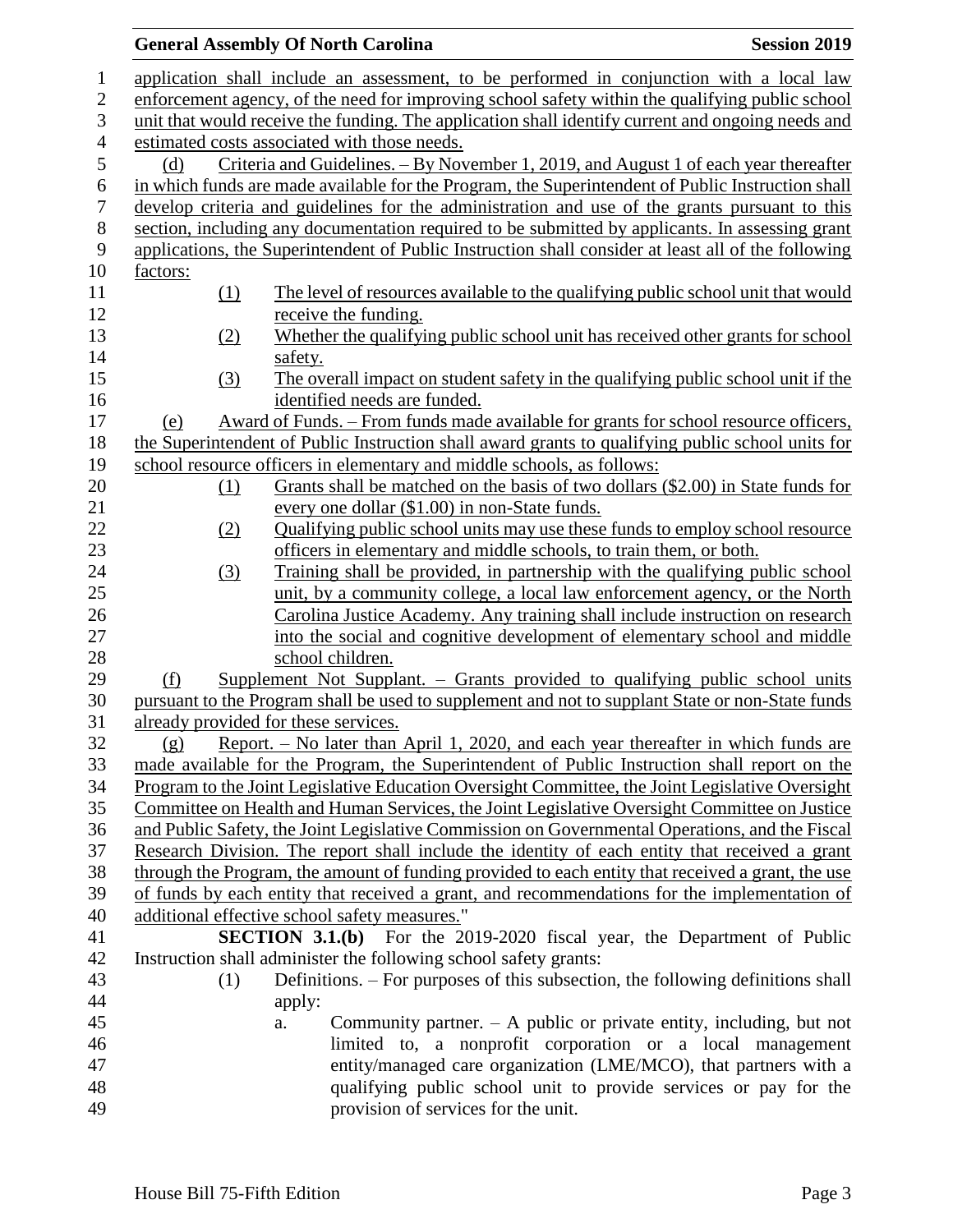|          | <b>General Assembly Of North Carolina</b><br><b>Session 2019</b>                                                                                                                        |
|----------|-----------------------------------------------------------------------------------------------------------------------------------------------------------------------------------------|
|          | application shall include an assessment, to be performed in conjunction with a local law                                                                                                |
|          | enforcement agency, of the need for improving school safety within the qualifying public school                                                                                         |
|          | unit that would receive the funding. The application shall identify current and ongoing needs and                                                                                       |
|          | estimated costs associated with those needs.                                                                                                                                            |
| (d)      | Criteria and Guidelines. - By November 1, 2019, and August 1 of each year thereafter                                                                                                    |
|          | in which funds are made available for the Program, the Superintendent of Public Instruction shall                                                                                       |
|          | develop criteria and guidelines for the administration and use of the grants pursuant to this                                                                                           |
|          | section, including any documentation required to be submitted by applicants. In assessing grant                                                                                         |
|          | applications, the Superintendent of Public Instruction shall consider at least all of the following                                                                                     |
| factors: |                                                                                                                                                                                         |
| (1)      | The level of resources available to the qualifying public school unit that would                                                                                                        |
|          | receive the funding.                                                                                                                                                                    |
| (2)      | Whether the qualifying public school unit has received other grants for school                                                                                                          |
|          | safety.                                                                                                                                                                                 |
| (3)      | The overall impact on student safety in the qualifying public school unit if the                                                                                                        |
|          | identified needs are funded.                                                                                                                                                            |
| (e)      | Award of Funds. – From funds made available for grants for school resource officers,                                                                                                    |
|          | the Superintendent of Public Instruction shall award grants to qualifying public school units for                                                                                       |
|          | school resource officers in elementary and middle schools, as follows:                                                                                                                  |
| (1)      | Grants shall be matched on the basis of two dollars (\$2.00) in State funds for                                                                                                         |
|          | every one dollar (\$1.00) in non-State funds.                                                                                                                                           |
| (2)      | Qualifying public school units may use these funds to employ school resource                                                                                                            |
|          | officers in elementary and middle schools, to train them, or both.                                                                                                                      |
| (3)      | Training shall be provided, in partnership with the qualifying public school                                                                                                            |
|          | unit, by a community college, a local law enforcement agency, or the North                                                                                                              |
|          | Carolina Justice Academy. Any training shall include instruction on research                                                                                                            |
|          | into the social and cognitive development of elementary school and middle                                                                                                               |
|          | school children.                                                                                                                                                                        |
| (f)      | <u>Supplement Not Supplant. – Grants provided to qualifying public school units</u><br>pursuant to the Program shall be used to supplement and not to supplant State or non-State funds |
|          | already provided for these services.                                                                                                                                                    |
| (g)      | Report. - No later than April 1, 2020, and each year thereafter in which funds are                                                                                                      |
|          | made available for the Program, the Superintendent of Public Instruction shall report on the                                                                                            |
|          | Program to the Joint Legislative Education Oversight Committee, the Joint Legislative Oversight                                                                                         |
|          | Committee on Health and Human Services, the Joint Legislative Oversight Committee on Justice                                                                                            |
|          | and Public Safety, the Joint Legislative Commission on Governmental Operations, and the Fiscal                                                                                          |
|          | Research Division. The report shall include the identity of each entity that received a grant                                                                                           |
|          | through the Program, the amount of funding provided to each entity that received a grant, the use                                                                                       |
|          | of funds by each entity that received a grant, and recommendations for the implementation of                                                                                            |
|          | additional effective school safety measures."                                                                                                                                           |
|          | <b>SECTION 3.1.(b)</b> For the 2019-2020 fiscal year, the Department of Public                                                                                                          |
|          | Instruction shall administer the following school safety grants:                                                                                                                        |
| (1)      | Definitions. – For purposes of this subsection, the following definitions shall                                                                                                         |
|          | apply:                                                                                                                                                                                  |
|          | Community partner. $-$ A public or private entity, including, but not<br>a.                                                                                                             |
|          | limited to, a nonprofit corporation or a local management                                                                                                                               |
|          | entity/managed care organization (LME/MCO), that partners with a                                                                                                                        |
|          | qualifying public school unit to provide services or pay for the                                                                                                                        |
|          | provision of services for the unit.                                                                                                                                                     |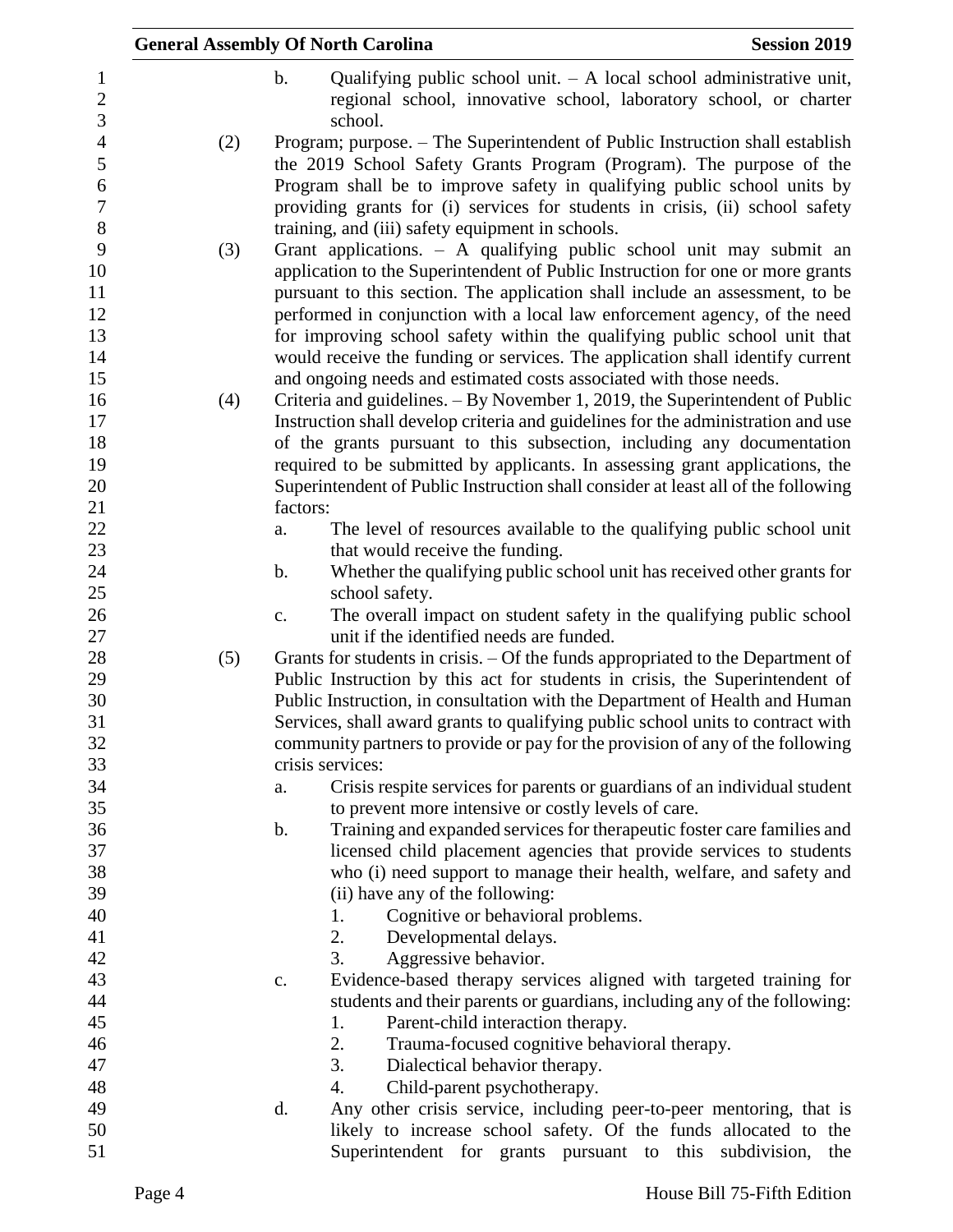|     |               | <b>General Assembly Of North Carolina</b>                          | <b>Session 2019</b>                                                                                                                                                                                                                                                                                                  |
|-----|---------------|--------------------------------------------------------------------|----------------------------------------------------------------------------------------------------------------------------------------------------------------------------------------------------------------------------------------------------------------------------------------------------------------------|
|     | $b$ .         | school.                                                            | Qualifying public school unit. $- A$ local school administrative unit,<br>regional school, innovative school, laboratory school, or charter                                                                                                                                                                          |
| (2) |               |                                                                    | Program; purpose. – The Superintendent of Public Instruction shall establish                                                                                                                                                                                                                                         |
|     |               |                                                                    | the 2019 School Safety Grants Program (Program). The purpose of the<br>Program shall be to improve safety in qualifying public school units by<br>providing grants for (i) services for students in crisis, (ii) school safety                                                                                       |
| (3) |               | training, and (iii) safety equipment in schools.                   | Grant applications. $-$ A qualifying public school unit may submit an<br>application to the Superintendent of Public Instruction for one or more grants<br>pursuant to this section. The application shall include an assessment, to be<br>performed in conjunction with a local law enforcement agency, of the need |
|     |               | and ongoing needs and estimated costs associated with those needs. | for improving school safety within the qualifying public school unit that<br>would receive the funding or services. The application shall identify current                                                                                                                                                           |
| (4) |               |                                                                    | Criteria and guidelines. - By November 1, 2019, the Superintendent of Public                                                                                                                                                                                                                                         |
|     |               |                                                                    | Instruction shall develop criteria and guidelines for the administration and use                                                                                                                                                                                                                                     |
|     |               |                                                                    | of the grants pursuant to this subsection, including any documentation                                                                                                                                                                                                                                               |
|     |               |                                                                    | required to be submitted by applicants. In assessing grant applications, the                                                                                                                                                                                                                                         |
|     |               |                                                                    | Superintendent of Public Instruction shall consider at least all of the following                                                                                                                                                                                                                                    |
|     | factors:      |                                                                    |                                                                                                                                                                                                                                                                                                                      |
|     | a.            |                                                                    | The level of resources available to the qualifying public school unit                                                                                                                                                                                                                                                |
|     |               | that would receive the funding.                                    |                                                                                                                                                                                                                                                                                                                      |
|     | $\mathbf b$ . |                                                                    | Whether the qualifying public school unit has received other grants for                                                                                                                                                                                                                                              |
|     |               | school safety.                                                     |                                                                                                                                                                                                                                                                                                                      |
|     | c.            |                                                                    | The overall impact on student safety in the qualifying public school                                                                                                                                                                                                                                                 |
|     |               | unit if the identified needs are funded.                           |                                                                                                                                                                                                                                                                                                                      |
| (5) |               |                                                                    | Grants for students in crisis. – Of the funds appropriated to the Department of                                                                                                                                                                                                                                      |
|     |               |                                                                    | Public Instruction by this act for students in crisis, the Superintendent of<br>Public Instruction, in consultation with the Department of Health and Human                                                                                                                                                          |
|     |               |                                                                    | Services, shall award grants to qualifying public school units to contract with                                                                                                                                                                                                                                      |
|     |               |                                                                    | community partners to provide or pay for the provision of any of the following                                                                                                                                                                                                                                       |
|     |               | crisis services:                                                   |                                                                                                                                                                                                                                                                                                                      |
|     | a.            |                                                                    | Crisis respite services for parents or guardians of an individual student                                                                                                                                                                                                                                            |
|     |               | to prevent more intensive or costly levels of care.                |                                                                                                                                                                                                                                                                                                                      |
|     | b.            |                                                                    | Training and expanded services for therapeutic foster care families and                                                                                                                                                                                                                                              |
|     |               |                                                                    | licensed child placement agencies that provide services to students                                                                                                                                                                                                                                                  |
|     |               |                                                                    | who (i) need support to manage their health, welfare, and safety and                                                                                                                                                                                                                                                 |
|     |               | (ii) have any of the following:                                    |                                                                                                                                                                                                                                                                                                                      |
|     |               | Cognitive or behavioral problems.<br>1.                            |                                                                                                                                                                                                                                                                                                                      |
|     |               | 2.<br>Developmental delays.                                        |                                                                                                                                                                                                                                                                                                                      |
|     |               | 3.<br>Aggressive behavior.                                         |                                                                                                                                                                                                                                                                                                                      |
|     | c.            |                                                                    | Evidence-based therapy services aligned with targeted training for                                                                                                                                                                                                                                                   |
|     |               |                                                                    | students and their parents or guardians, including any of the following:                                                                                                                                                                                                                                             |
|     |               | Parent-child interaction therapy.<br>1.                            |                                                                                                                                                                                                                                                                                                                      |
|     |               | 2.<br>Trauma-focused cognitive behavioral therapy.                 |                                                                                                                                                                                                                                                                                                                      |
|     |               | 3.<br>Dialectical behavior therapy.                                |                                                                                                                                                                                                                                                                                                                      |
|     |               | Child-parent psychotherapy.<br>4.                                  |                                                                                                                                                                                                                                                                                                                      |
|     | d.            |                                                                    | Any other crisis service, including peer-to-peer mentoring, that is                                                                                                                                                                                                                                                  |
|     |               |                                                                    | likely to increase school safety. Of the funds allocated to the                                                                                                                                                                                                                                                      |
|     |               |                                                                    | Superintendent for grants pursuant to this subdivision, the                                                                                                                                                                                                                                                          |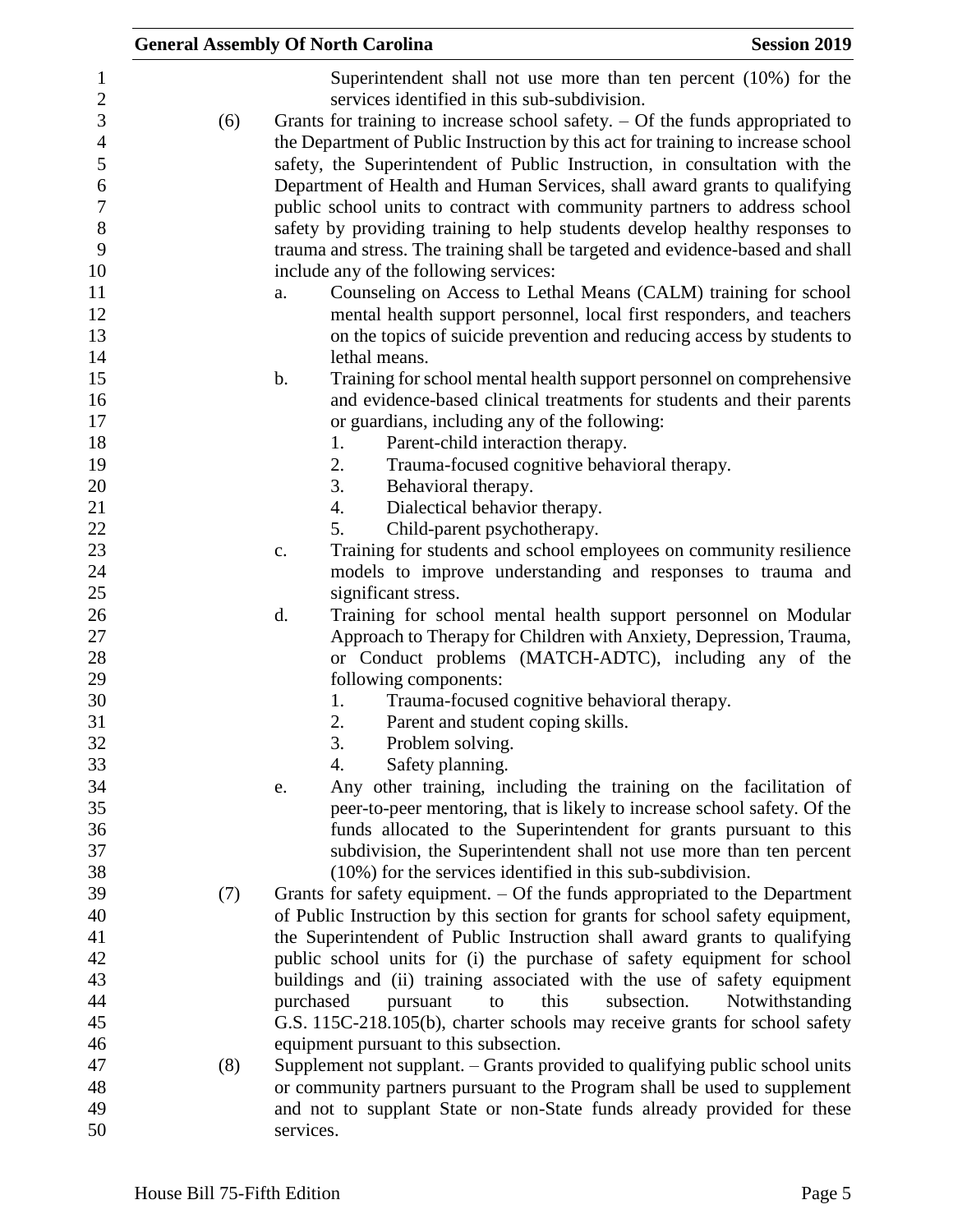|                  |     | <b>Session 2019</b><br><b>General Assembly Of North Carolina</b>                      |  |
|------------------|-----|---------------------------------------------------------------------------------------|--|
| $\mathbf{1}$     |     | Superintendent shall not use more than ten percent (10%) for the                      |  |
| $\sqrt{2}$       |     | services identified in this sub-subdivision.                                          |  |
| 3                | (6) | Grants for training to increase school safety. $-$ Of the funds appropriated to       |  |
| $\overline{4}$   |     | the Department of Public Instruction by this act for training to increase school      |  |
| 5                |     | safety, the Superintendent of Public Instruction, in consultation with the            |  |
| 6                |     | Department of Health and Human Services, shall award grants to qualifying             |  |
| $\boldsymbol{7}$ |     | public school units to contract with community partners to address school             |  |
| $8\,$            |     | safety by providing training to help students develop healthy responses to            |  |
| 9                |     | trauma and stress. The training shall be targeted and evidence-based and shall        |  |
| 10               |     | include any of the following services:                                                |  |
| 11               |     | Counseling on Access to Lethal Means (CALM) training for school<br>a.                 |  |
| 12               |     | mental health support personnel, local first responders, and teachers                 |  |
| 13               |     | on the topics of suicide prevention and reducing access by students to                |  |
| 14               |     | lethal means.                                                                         |  |
| 15               |     | $\mathbf b$ .<br>Training for school mental health support personnel on comprehensive |  |
| 16               |     | and evidence-based clinical treatments for students and their parents                 |  |
| 17               |     | or guardians, including any of the following:                                         |  |
| 18               |     | 1.<br>Parent-child interaction therapy.                                               |  |
| 19               |     | 2.<br>Trauma-focused cognitive behavioral therapy.                                    |  |
| 20               |     | 3.<br>Behavioral therapy.                                                             |  |
| 21               |     | Dialectical behavior therapy.<br>4.                                                   |  |
| 22               |     | 5.<br>Child-parent psychotherapy.                                                     |  |
| 23               |     | Training for students and school employees on community resilience<br>c.              |  |
| 24               |     | models to improve understanding and responses to trauma and                           |  |
| 25               |     | significant stress.                                                                   |  |
| 26               |     | Training for school mental health support personnel on Modular<br>d.                  |  |
| 27               |     | Approach to Therapy for Children with Anxiety, Depression, Trauma,                    |  |
| 28               |     | or Conduct problems (MATCH-ADTC), including any of the                                |  |
| 29               |     | following components:                                                                 |  |
| 30               |     | Trauma-focused cognitive behavioral therapy.<br>1.                                    |  |
| 31               |     | 2.<br>Parent and student coping skills.                                               |  |
| 32               |     | 3.<br>Problem solving.                                                                |  |
| 33               |     | Safety planning.<br>4.                                                                |  |
| 34               |     | Any other training, including the training on the facilitation of<br>e.               |  |
| 35               |     | peer-to-peer mentoring, that is likely to increase school safety. Of the              |  |
| 36               |     | funds allocated to the Superintendent for grants pursuant to this                     |  |
| 37               |     | subdivision, the Superintendent shall not use more than ten percent                   |  |
| 38               |     | $(10\%)$ for the services identified in this sub-subdivision.                         |  |
| 39               | (7) | Grants for safety equipment. $-$ Of the funds appropriated to the Department          |  |
| 40               |     | of Public Instruction by this section for grants for school safety equipment,         |  |
| 41               |     | the Superintendent of Public Instruction shall award grants to qualifying             |  |
| 42               |     | public school units for (i) the purchase of safety equipment for school               |  |
| 43               |     | buildings and (ii) training associated with the use of safety equipment               |  |
| 44               |     | purchased<br>subsection.<br>pursuant<br>this<br>Notwithstanding<br>to                 |  |
| 45               |     | G.S. 115C-218.105(b), charter schools may receive grants for school safety            |  |
| 46               |     | equipment pursuant to this subsection.                                                |  |
| 47               | (8) | Supplement not supplant. – Grants provided to qualifying public school units          |  |
| 48               |     | or community partners pursuant to the Program shall be used to supplement             |  |
| 49               |     | and not to supplant State or non-State funds already provided for these               |  |
| 50               |     | services.                                                                             |  |
|                  |     |                                                                                       |  |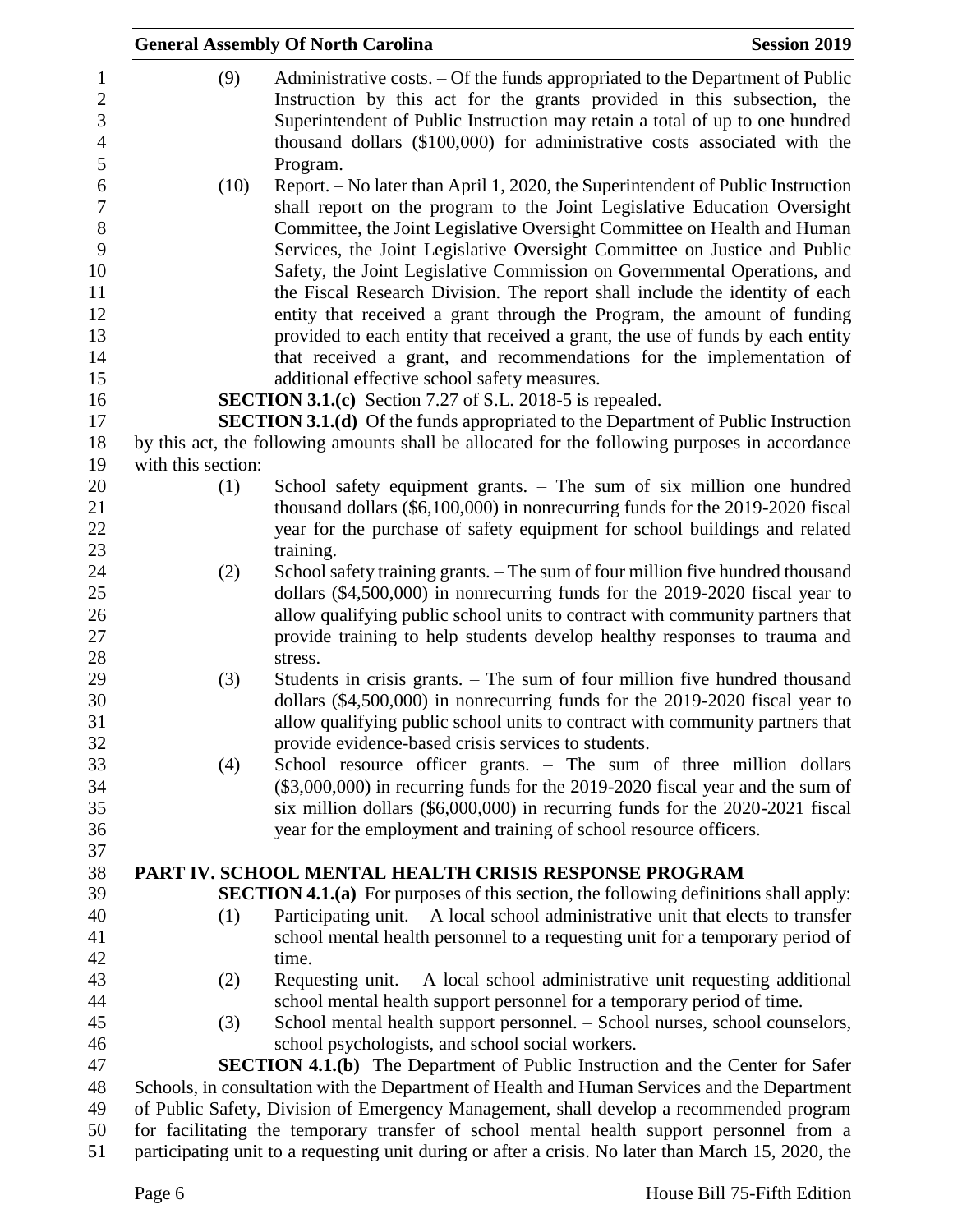|                    |      | <b>General Assembly Of North Carolina</b>                                                           | <b>Session 2019</b> |
|--------------------|------|-----------------------------------------------------------------------------------------------------|---------------------|
|                    | (9)  | Administrative costs. - Of the funds appropriated to the Department of Public                       |                     |
|                    |      | Instruction by this act for the grants provided in this subsection, the                             |                     |
|                    |      | Superintendent of Public Instruction may retain a total of up to one hundred                        |                     |
|                    |      | thousand dollars (\$100,000) for administrative costs associated with the                           |                     |
|                    |      | Program.                                                                                            |                     |
|                    | (10) | Report. – No later than April 1, 2020, the Superintendent of Public Instruction                     |                     |
|                    |      | shall report on the program to the Joint Legislative Education Oversight                            |                     |
|                    |      | Committee, the Joint Legislative Oversight Committee on Health and Human                            |                     |
|                    |      | Services, the Joint Legislative Oversight Committee on Justice and Public                           |                     |
|                    |      | Safety, the Joint Legislative Commission on Governmental Operations, and                            |                     |
|                    |      | the Fiscal Research Division. The report shall include the identity of each                         |                     |
|                    |      | entity that received a grant through the Program, the amount of funding                             |                     |
|                    |      | provided to each entity that received a grant, the use of funds by each entity                      |                     |
|                    |      | that received a grant, and recommendations for the implementation of                                |                     |
|                    |      | additional effective school safety measures.                                                        |                     |
|                    |      | <b>SECTION 3.1.(c)</b> Section 7.27 of S.L. 2018-5 is repealed.                                     |                     |
|                    |      | <b>SECTION 3.1.(d)</b> Of the funds appropriated to the Department of Public Instruction            |                     |
|                    |      | by this act, the following amounts shall be allocated for the following purposes in accordance      |                     |
| with this section: |      |                                                                                                     |                     |
|                    | (1)  | School safety equipment grants. - The sum of six million one hundred                                |                     |
|                    |      | thousand dollars (\$6,100,000) in nonrecurring funds for the 2019-2020 fiscal                       |                     |
|                    |      | year for the purchase of safety equipment for school buildings and related                          |                     |
|                    |      | training.                                                                                           |                     |
|                    | (2)  | School safety training grants. - The sum of four million five hundred thousand                      |                     |
|                    |      | dollars (\$4,500,000) in nonrecurring funds for the 2019-2020 fiscal year to                        |                     |
|                    |      | allow qualifying public school units to contract with community partners that                       |                     |
|                    |      | provide training to help students develop healthy responses to trauma and                           |                     |
|                    |      | stress.                                                                                             |                     |
|                    | (3)  | Students in crisis grants. – The sum of four million five hundred thousand                          |                     |
|                    |      | dollars (\$4,500,000) in nonrecurring funds for the 2019-2020 fiscal year to                        |                     |
|                    |      | allow qualifying public school units to contract with community partners that                       |                     |
|                    |      | provide evidence-based crisis services to students.                                                 |                     |
|                    | (4)  | School resource officer grants. - The sum of three million dollars                                  |                     |
|                    |      | $(\$3,000,000)$ in recurring funds for the 2019-2020 fiscal year and the sum of                     |                     |
|                    |      | six million dollars (\$6,000,000) in recurring funds for the 2020-2021 fiscal                       |                     |
|                    |      | year for the employment and training of school resource officers.                                   |                     |
|                    |      | PART IV. SCHOOL MENTAL HEALTH CRISIS RESPONSE PROGRAM                                               |                     |
|                    |      | <b>SECTION 4.1.(a)</b> For purposes of this section, the following definitions shall apply:         |                     |
|                    | (1)  | Participating unit. $-$ A local school administrative unit that elects to transfer                  |                     |
|                    |      | school mental health personnel to a requesting unit for a temporary period of                       |                     |
|                    |      | time.                                                                                               |                     |
|                    | (2)  | Requesting unit. $-$ A local school administrative unit requesting additional                       |                     |
|                    |      | school mental health support personnel for a temporary period of time.                              |                     |
|                    | (3)  | School mental health support personnel. - School nurses, school counselors,                         |                     |
|                    |      | school psychologists, and school social workers.                                                    |                     |
|                    |      | <b>SECTION 4.1.(b)</b> The Department of Public Instruction and the Center for Safer                |                     |
|                    |      | Schools, in consultation with the Department of Health and Human Services and the Department        |                     |
|                    |      | of Public Safety, Division of Emergency Management, shall develop a recommended program             |                     |
|                    |      | for facilitating the temporary transfer of school mental health support personnel from a            |                     |
|                    |      | participating unit to a requesting unit during or after a crisis. No later than March 15, 2020, the |                     |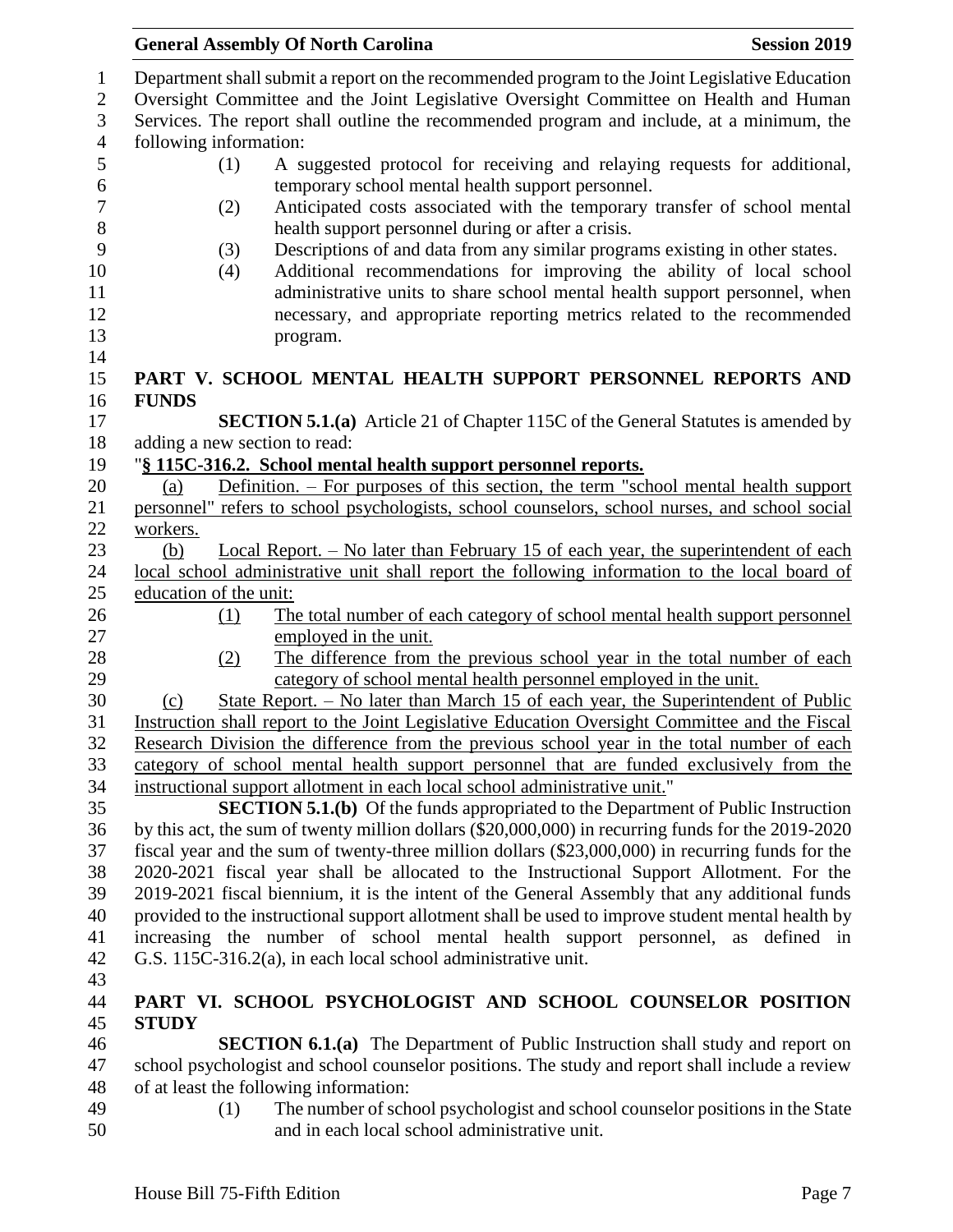| <b>General Assembly Of North Carolina</b>                                                                                                                                                                                                                                                                                               | <b>Session 2019</b> |
|-----------------------------------------------------------------------------------------------------------------------------------------------------------------------------------------------------------------------------------------------------------------------------------------------------------------------------------------|---------------------|
| Department shall submit a report on the recommended program to the Joint Legislative Education<br>Oversight Committee and the Joint Legislative Oversight Committee on Health and Human<br>Services. The report shall outline the recommended program and include, at a minimum, the<br>following information:                          |                     |
| A suggested protocol for receiving and relaying requests for additional,<br>(1)                                                                                                                                                                                                                                                         |                     |
| temporary school mental health support personnel.                                                                                                                                                                                                                                                                                       |                     |
| Anticipated costs associated with the temporary transfer of school mental<br>(2)                                                                                                                                                                                                                                                        |                     |
| health support personnel during or after a crisis.                                                                                                                                                                                                                                                                                      |                     |
| Descriptions of and data from any similar programs existing in other states.<br>(3)<br>Additional recommendations for improving the ability of local school<br>(4)<br>administrative units to share school mental health support personnel, when<br>necessary, and appropriate reporting metrics related to the recommended<br>program. |                     |
| PART V. SCHOOL MENTAL HEALTH SUPPORT PERSONNEL REPORTS AND                                                                                                                                                                                                                                                                              |                     |
| <b>FUNDS</b><br><b>SECTION 5.1.(a)</b> Article 21 of Chapter 115C of the General Statutes is amended by                                                                                                                                                                                                                                 |                     |
| adding a new section to read:                                                                                                                                                                                                                                                                                                           |                     |
| "§ 115C-316.2. School mental health support personnel reports.                                                                                                                                                                                                                                                                          |                     |
| Definition. – For purposes of this section, the term "school mental health support<br>(a)                                                                                                                                                                                                                                               |                     |
| personnel" refers to school psychologists, school counselors, school nurses, and school social                                                                                                                                                                                                                                          |                     |
| workers.                                                                                                                                                                                                                                                                                                                                |                     |
| <u>Local Report. – No later than February 15 of each year, the superintendent of each</u><br>(b)                                                                                                                                                                                                                                        |                     |
| local school administrative unit shall report the following information to the local board of                                                                                                                                                                                                                                           |                     |
| education of the unit:                                                                                                                                                                                                                                                                                                                  |                     |
| The total number of each category of school mental health support personnel<br><u>(1)</u>                                                                                                                                                                                                                                               |                     |
| employed in the unit.                                                                                                                                                                                                                                                                                                                   |                     |
| The difference from the previous school year in the total number of each<br>(2)                                                                                                                                                                                                                                                         |                     |
| category of school mental health personnel employed in the unit.                                                                                                                                                                                                                                                                        |                     |
| <u>State Report. – No later than March 15 of each year, the Superintendent of Public</u><br>(c)                                                                                                                                                                                                                                         |                     |
| Instruction shall report to the Joint Legislative Education Oversight Committee and the Fiscal                                                                                                                                                                                                                                          |                     |
| Research Division the difference from the previous school year in the total number of each                                                                                                                                                                                                                                              |                     |
| category of school mental health support personnel that are funded exclusively from the                                                                                                                                                                                                                                                 |                     |
| instructional support allotment in each local school administrative unit."                                                                                                                                                                                                                                                              |                     |
| <b>SECTION 5.1.(b)</b> Of the funds appropriated to the Department of Public Instruction                                                                                                                                                                                                                                                |                     |
| by this act, the sum of twenty million dollars (\$20,000,000) in recurring funds for the 2019-2020                                                                                                                                                                                                                                      |                     |
| fiscal year and the sum of twenty-three million dollars (\$23,000,000) in recurring funds for the<br>2020-2021 fiscal year shall be allocated to the Instructional Support Allotment. For the                                                                                                                                           |                     |
| 2019-2021 fiscal biennium, it is the intent of the General Assembly that any additional funds                                                                                                                                                                                                                                           |                     |
| provided to the instructional support allotment shall be used to improve student mental health by                                                                                                                                                                                                                                       |                     |
| increasing the number of school mental health support personnel, as defined in                                                                                                                                                                                                                                                          |                     |
| G.S. 115C-316.2(a), in each local school administrative unit.                                                                                                                                                                                                                                                                           |                     |
|                                                                                                                                                                                                                                                                                                                                         |                     |
| PART VI. SCHOOL PSYCHOLOGIST AND SCHOOL COUNSELOR POSITION                                                                                                                                                                                                                                                                              |                     |
| <b>STUDY</b>                                                                                                                                                                                                                                                                                                                            |                     |
| <b>SECTION 6.1.(a)</b> The Department of Public Instruction shall study and report on                                                                                                                                                                                                                                                   |                     |
| school psychologist and school counselor positions. The study and report shall include a review                                                                                                                                                                                                                                         |                     |
| of at least the following information:                                                                                                                                                                                                                                                                                                  |                     |
| The number of school psychologist and school counselor positions in the State<br>(1)<br>and in each local school administrative unit.                                                                                                                                                                                                   |                     |